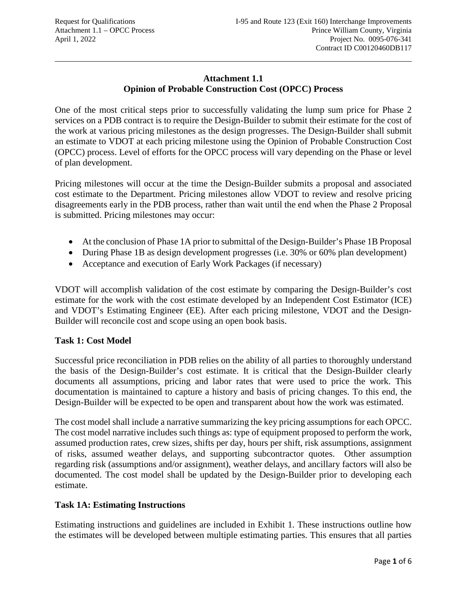### **Attachment 1.1 Opinion of Probable Construction Cost (OPCC) Process**

One of the most critical steps prior to successfully validating the lump sum price for Phase 2 services on a PDB contract is to require the Design-Builder to submit their estimate for the cost of the work at various pricing milestones as the design progresses. The Design-Builder shall submit an estimate to VDOT at each pricing milestone using the Opinion of Probable Construction Cost (OPCC) process. Level of efforts for the OPCC process will vary depending on the Phase or level of plan development.

Pricing milestones will occur at the time the Design-Builder submits a proposal and associated cost estimate to the Department. Pricing milestones allow VDOT to review and resolve pricing disagreements early in the PDB process, rather than wait until the end when the Phase 2 Proposal is submitted. Pricing milestones may occur:

- At the conclusion of Phase 1A prior to submittal of the Design-Builder's Phase 1B Proposal
- During Phase 1B as design development progresses (i.e. 30% or 60% plan development)
- Acceptance and execution of Early Work Packages (if necessary)

VDOT will accomplish validation of the cost estimate by comparing the Design-Builder's cost estimate for the work with the cost estimate developed by an Independent Cost Estimator (ICE) and VDOT's Estimating Engineer (EE). After each pricing milestone, VDOT and the Design-Builder will reconcile cost and scope using an open book basis.

### **Task 1: Cost Model**

Successful price reconciliation in PDB relies on the ability of all parties to thoroughly understand the basis of the Design-Builder's cost estimate. It is critical that the Design-Builder clearly documents all assumptions, pricing and labor rates that were used to price the work. This documentation is maintained to capture a history and basis of pricing changes. To this end, the Design-Builder will be expected to be open and transparent about how the work was estimated.

The cost model shall include a narrative summarizing the key pricing assumptions for each OPCC. The cost model narrative includes such things as: type of equipment proposed to perform the work, assumed production rates, crew sizes, shifts per day, hours per shift, risk assumptions, assignment of risks, assumed weather delays, and supporting subcontractor quotes. Other assumption regarding risk (assumptions and/or assignment), weather delays, and ancillary factors will also be documented. The cost model shall be updated by the Design-Builder prior to developing each estimate.

#### **Task 1A: Estimating Instructions**

Estimating instructions and guidelines are included in Exhibit 1. These instructions outline how the estimates will be developed between multiple estimating parties. This ensures that all parties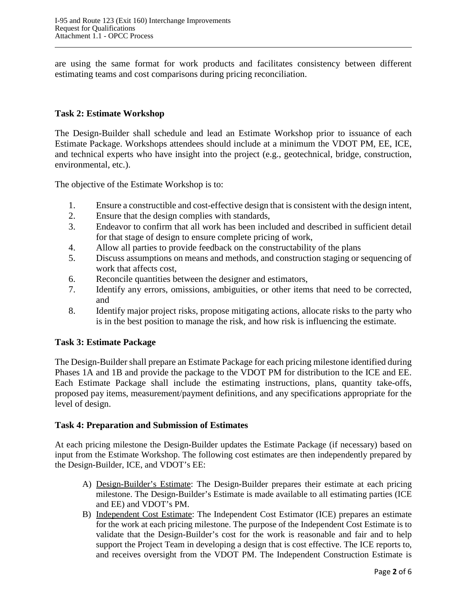are using the same format for work products and facilitates consistency between different estimating teams and cost comparisons during pricing reconciliation.

#### **Task 2: Estimate Workshop**

The Design-Builder shall schedule and lead an Estimate Workshop prior to issuance of each Estimate Package. Workshops attendees should include at a minimum the VDOT PM, EE, ICE, and technical experts who have insight into the project (e.g., geotechnical, bridge, construction, environmental, etc.).

The objective of the Estimate Workshop is to:

- 1. Ensure a constructible and cost-effective design that is consistent with the design intent,
- 2. Ensure that the design complies with standards,
- 3. Endeavor to confirm that all work has been included and described in sufficient detail for that stage of design to ensure complete pricing of work,
- 4. Allow all parties to provide feedback on the constructability of the plans
- 5. Discuss assumptions on means and methods, and construction staging or sequencing of work that affects cost,
- 6. Reconcile quantities between the designer and estimators,
- 7. Identify any errors, omissions, ambiguities, or other items that need to be corrected, and
- 8. Identify major project risks, propose mitigating actions, allocate risks to the party who is in the best position to manage the risk, and how risk is influencing the estimate.

#### **Task 3: Estimate Package**

The Design-Builder shall prepare an Estimate Package for each pricing milestone identified during Phases 1A and 1B and provide the package to the VDOT PM for distribution to the ICE and EE. Each Estimate Package shall include the estimating instructions, plans, quantity take-offs, proposed pay items, measurement/payment definitions, and any specifications appropriate for the level of design.

#### **Task 4: Preparation and Submission of Estimates**

At each pricing milestone the Design-Builder updates the Estimate Package (if necessary) based on input from the Estimate Workshop. The following cost estimates are then independently prepared by the Design-Builder, ICE, and VDOT's EE:

- A) Design-Builder's Estimate: The Design-Builder prepares their estimate at each pricing milestone. The Design-Builder's Estimate is made available to all estimating parties (ICE and EE) and VDOT's PM.
- B) Independent Cost Estimate: The Independent Cost Estimator (ICE) prepares an estimate for the work at each pricing milestone. The purpose of the Independent Cost Estimate is to validate that the Design-Builder's cost for the work is reasonable and fair and to help support the Project Team in developing a design that is cost effective. The ICE reports to, and receives oversight from the VDOT PM. The Independent Construction Estimate is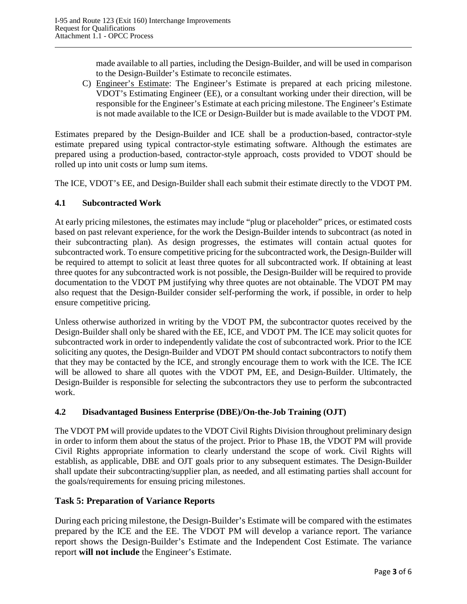made available to all parties, including the Design-Builder, and will be used in comparison to the Design-Builder's Estimate to reconcile estimates.

C) Engineer's Estimate: The Engineer's Estimate is prepared at each pricing milestone. VDOT's Estimating Engineer (EE), or a consultant working under their direction, will be responsible for the Engineer's Estimate at each pricing milestone. The Engineer's Estimate is not made available to the ICE or Design-Builder but is made available to the VDOT PM.

Estimates prepared by the Design-Builder and ICE shall be a production-based, contractor-style estimate prepared using typical contractor-style estimating software. Although the estimates are prepared using a production-based, contractor-style approach, costs provided to VDOT should be rolled up into unit costs or lump sum items.

The ICE, VDOT's EE, and Design-Builder shall each submit their estimate directly to the VDOT PM.

#### **4.1 Subcontracted Work**

At early pricing milestones, the estimates may include "plug or placeholder" prices, or estimated costs based on past relevant experience, for the work the Design-Builder intends to subcontract (as noted in their subcontracting plan). As design progresses, the estimates will contain actual quotes for subcontracted work. To ensure competitive pricing for the subcontracted work, the Design-Builder will be required to attempt to solicit at least three quotes for all subcontracted work. If obtaining at least three quotes for any subcontracted work is not possible, the Design-Builder will be required to provide documentation to the VDOT PM justifying why three quotes are not obtainable. The VDOT PM may also request that the Design-Builder consider self-performing the work, if possible, in order to help ensure competitive pricing.

Unless otherwise authorized in writing by the VDOT PM, the subcontractor quotes received by the Design-Builder shall only be shared with the EE, ICE, and VDOT PM. The ICE may solicit quotes for subcontracted work in order to independently validate the cost of subcontracted work. Prior to the ICE soliciting any quotes, the Design-Builder and VDOT PM should contact subcontractors to notify them that they may be contacted by the ICE, and strongly encourage them to work with the ICE. The ICE will be allowed to share all quotes with the VDOT PM, EE, and Design-Builder. Ultimately, the Design-Builder is responsible for selecting the subcontractors they use to perform the subcontracted work.

### **4.2 Disadvantaged Business Enterprise (DBE)/On-the-Job Training (OJT)**

The VDOT PM will provide updates to the VDOT Civil Rights Division throughout preliminary design in order to inform them about the status of the project. Prior to Phase 1B, the VDOT PM will provide Civil Rights appropriate information to clearly understand the scope of work. Civil Rights will establish, as applicable, DBE and OJT goals prior to any subsequent estimates. The Design-Builder shall update their subcontracting/supplier plan, as needed, and all estimating parties shall account for the goals/requirements for ensuing pricing milestones.

### **Task 5: Preparation of Variance Reports**

During each pricing milestone, the Design-Builder's Estimate will be compared with the estimates prepared by the ICE and the EE. The VDOT PM will develop a variance report. The variance report shows the Design-Builder's Estimate and the Independent Cost Estimate. The variance report **will not include** the Engineer's Estimate.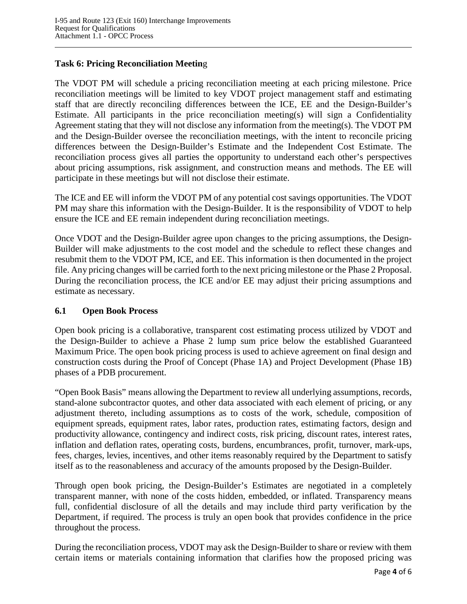### **Task 6: Pricing Reconciliation Meetin**g

The VDOT PM will schedule a pricing reconciliation meeting at each pricing milestone. Price reconciliation meetings will be limited to key VDOT project management staff and estimating staff that are directly reconciling differences between the ICE, EE and the Design-Builder's Estimate. All participants in the price reconciliation meeting(s) will sign a Confidentiality Agreement stating that they will not disclose any information from the meeting(s). The VDOT PM and the Design-Builder oversee the reconciliation meetings, with the intent to reconcile pricing differences between the Design-Builder's Estimate and the Independent Cost Estimate. The reconciliation process gives all parties the opportunity to understand each other's perspectives about pricing assumptions, risk assignment, and construction means and methods. The EE will participate in these meetings but will not disclose their estimate.

The ICE and EE will inform the VDOT PM of any potential cost savings opportunities. The VDOT PM may share this information with the Design-Builder. It is the responsibility of VDOT to help ensure the ICE and EE remain independent during reconciliation meetings.

Once VDOT and the Design-Builder agree upon changes to the pricing assumptions, the Design-Builder will make adjustments to the cost model and the schedule to reflect these changes and resubmit them to the VDOT PM, ICE, and EE. This information is then documented in the project file. Any pricing changes will be carried forth to the next pricing milestone or the Phase 2 Proposal. During the reconciliation process, the ICE and/or EE may adjust their pricing assumptions and estimate as necessary.

#### **6.1 Open Book Process**

Open book pricing is a collaborative, transparent cost estimating process utilized by VDOT and the Design-Builder to achieve a Phase 2 lump sum price below the established Guaranteed Maximum Price. The open book pricing process is used to achieve agreement on final design and construction costs during the Proof of Concept (Phase 1A) and Project Development (Phase 1B) phases of a PDB procurement.

"Open Book Basis" means allowing the Department to review all underlying assumptions, records, stand-alone subcontractor quotes, and other data associated with each element of pricing, or any adjustment thereto, including assumptions as to costs of the work, schedule, composition of equipment spreads, equipment rates, labor rates, production rates, estimating factors, design and productivity allowance, contingency and indirect costs, risk pricing, discount rates, interest rates, inflation and deflation rates, operating costs, burdens, encumbrances, profit, turnover, mark-ups, fees, charges, levies, incentives, and other items reasonably required by the Department to satisfy itself as to the reasonableness and accuracy of the amounts proposed by the Design-Builder.

Through open book pricing, the Design-Builder's Estimates are negotiated in a completely transparent manner, with none of the costs hidden, embedded, or inflated. Transparency means full, confidential disclosure of all the details and may include third party verification by the Department, if required. The process is truly an open book that provides confidence in the price throughout the process.

During the reconciliation process, VDOT may ask the Design-Builder to share or review with them certain items or materials containing information that clarifies how the proposed pricing was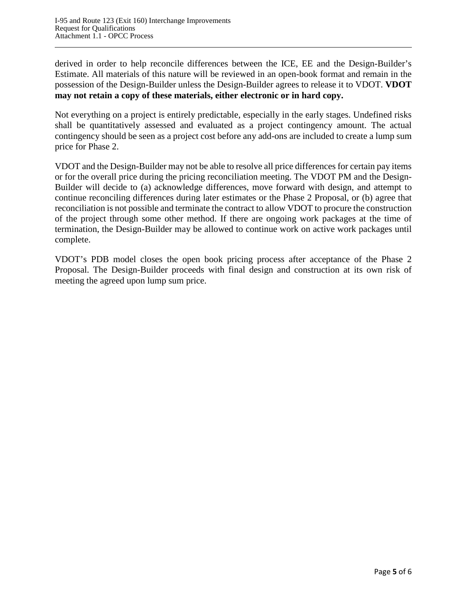derived in order to help reconcile differences between the ICE, EE and the Design-Builder's Estimate. All materials of this nature will be reviewed in an open-book format and remain in the possession of the Design-Builder unless the Design-Builder agrees to release it to VDOT. **VDOT may not retain a copy of these materials, either electronic or in hard copy.** 

Not everything on a project is entirely predictable, especially in the early stages. Undefined risks shall be quantitatively assessed and evaluated as a project contingency amount. The actual contingency should be seen as a project cost before any add-ons are included to create a lump sum price for Phase 2.

VDOT and the Design-Builder may not be able to resolve all price differences for certain pay items or for the overall price during the pricing reconciliation meeting. The VDOT PM and the Design-Builder will decide to (a) acknowledge differences, move forward with design, and attempt to continue reconciling differences during later estimates or the Phase 2 Proposal, or (b) agree that reconciliation is not possible and terminate the contract to allow VDOT to procure the construction of the project through some other method. If there are ongoing work packages at the time of termination, the Design-Builder may be allowed to continue work on active work packages until complete.

VDOT's PDB model closes the open book pricing process after acceptance of the Phase 2 Proposal. The Design-Builder proceeds with final design and construction at its own risk of meeting the agreed upon lump sum price.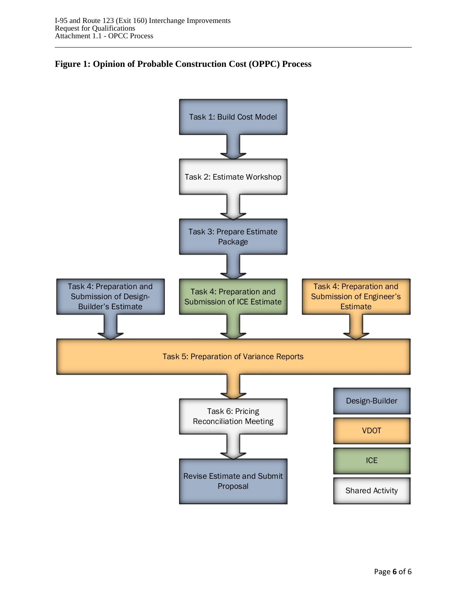

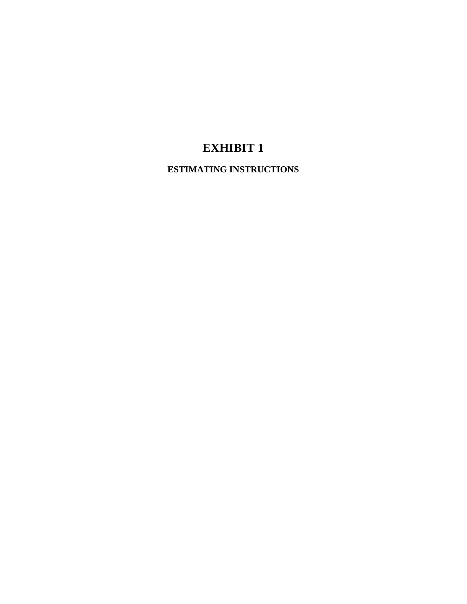# **EXHIBIT 1**

**ESTIMATING INSTRUCTIONS**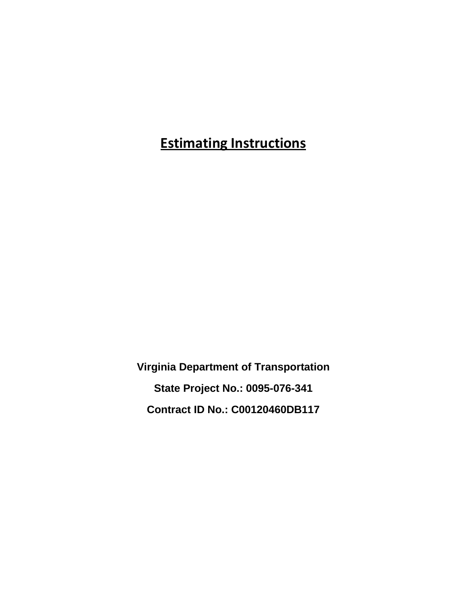**Estimating Instructions**

**Virginia Department of Transportation State Project No.: 0095-076-341 Contract ID No.: C00120460DB117**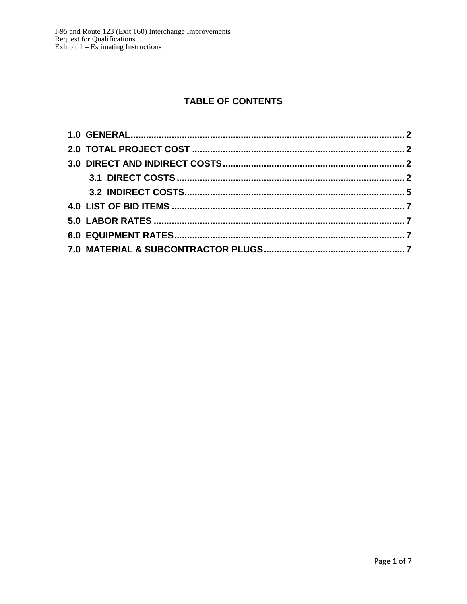# **TABLE OF CONTENTS**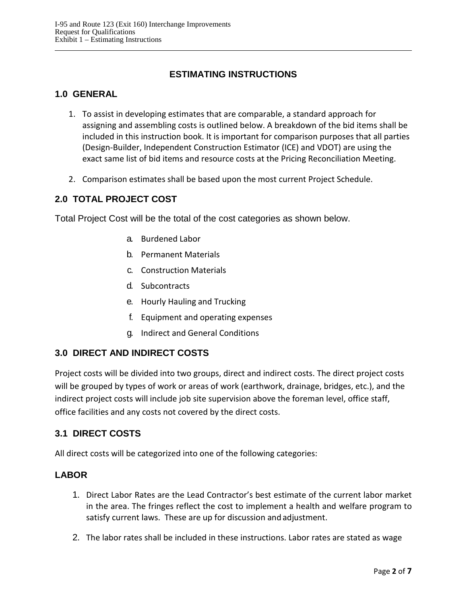## **ESTIMATING INSTRUCTIONS**

## <span id="page-9-0"></span>**1.0 GENERAL**

- 1. To assist in developing estimates that are comparable, a standard approach for assigning and assembling costs is outlined below. A breakdown of the bid items shall be included in this instruction book. It is important for comparison purposes that all parties (Design-Builder, Independent Construction Estimator (ICE) and VDOT) are using the exact same list of bid items and resource costs at the Pricing Reconciliation Meeting.
- 2. Comparison estimates shall be based upon the most current Project Schedule.

## <span id="page-9-1"></span>**2.0 TOTAL PROJECT COST**

Total Project Cost will be the total of the cost categories as shown below.

- a. Burdened Labor
- b. Permanent Materials
- c. Construction Materials
- d. Subcontracts
- e. Hourly Hauling and Trucking
- f. Equipment and operating expenses
- g. Indirect and General Conditions

## <span id="page-9-2"></span>**3.0 DIRECT AND INDIRECT COSTS**

Project costs will be divided into two groups, direct and indirect costs. The direct project costs will be grouped by types of work or areas of work (earthwork, drainage, bridges, etc.), and the indirect project costs will include job site supervision above the foreman level, office staff, office facilities and any costs not covered by the direct costs.

### <span id="page-9-3"></span>**3.1 DIRECT COSTS**

All direct costs will be categorized into one of the following categories:

### **LABOR**

- 1. Direct Labor Rates are the Lead Contractor's best estimate of the current labor market in the area. The fringes reflect the cost to implement a health and welfare program to satisfy current laws. These are up for discussion and adjustment.
- 2. The labor rates shall be included in these instructions. Labor rates are stated as wage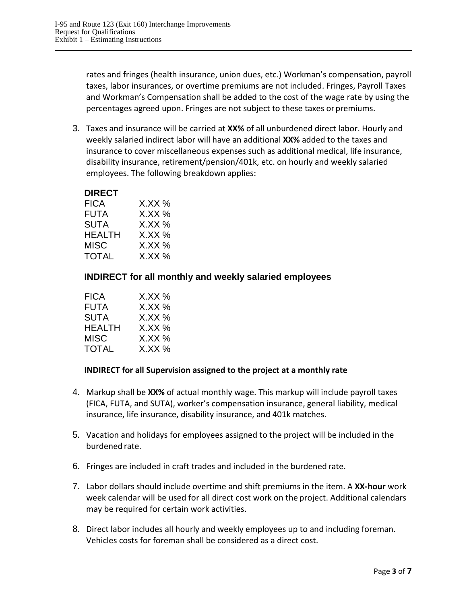rates and fringes (health insurance, union dues, etc.) Workman's compensation, payroll taxes, labor insurances, or overtime premiums are not included. Fringes, Payroll Taxes and Workman's Compensation shall be added to the cost of the wage rate by using the percentages agreed upon. Fringes are not subject to these taxes orpremiums.

3. Taxes and insurance will be carried at **XX%** of all unburdened direct labor. Hourly and weekly salaried indirect labor will have an additional **XX%** added to the taxes and insurance to cover miscellaneous expenses such as additional medical, life insurance, disability insurance, retirement/pension/401k, etc. on hourly and weekly salaried employees. The following breakdown applies:

#### **DIRECT**

| <b>FICA</b>  | $X$ .XX %    |
|--------------|--------------|
| FUTA         | $X$ . $XX$ % |
| <b>SUTA</b>  | $X$ .XX %    |
| HEALTH       | $X$ XX %     |
| MISC         | $X$ .XX %    |
| <b>TOTAL</b> | $X$ .XX %    |

### **INDIRECT for all monthly and weekly salaried employees**

| FICA          | X.XX %       |
|---------------|--------------|
| <b>FUTA</b>   | X.XX %       |
| SUTA          | $X$ . $XX$ % |
| <b>HEALTH</b> | X.XX %       |
| MISC          | X.XX %       |
| <b>TOTAL</b>  | $X$ . $XX$ % |

#### **INDIRECT for all Supervision assigned to the project at a monthly rate**

- 4. Markup shall be **XX%** of actual monthly wage. This markup will include payroll taxes (FICA, FUTA, and SUTA), worker's compensation insurance, general liability, medical insurance, life insurance, disability insurance, and 401k matches.
- 5. Vacation and holidays for employees assigned to the project will be included in the burdened rate.
- 6. Fringes are included in craft trades and included in the burdened rate.
- 7. Labor dollars should include overtime and shift premiums in the item. A **XX-hour** work week calendar will be used for all direct cost work on the project. Additional calendars may be required for certain work activities.
- 8. Direct labor includes all hourly and weekly employees up to and including foreman. Vehicles costs for foreman shall be considered as a direct cost.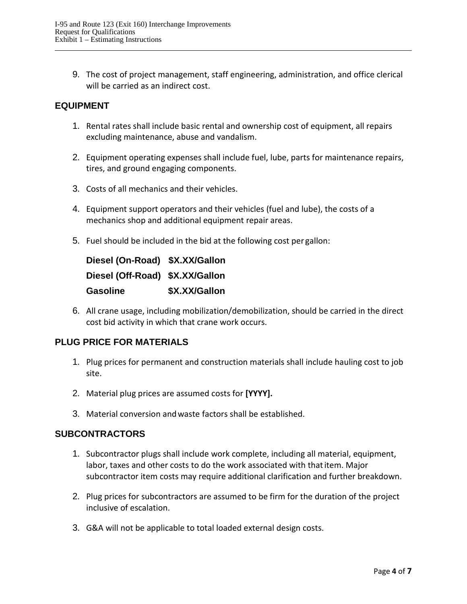9. The cost of project management, staff engineering, administration, and office clerical will be carried as an indirect cost.

## **EQUIPMENT**

- 1. Rental rates shall include basic rental and ownership cost of equipment, all repairs excluding maintenance, abuse and vandalism.
- 2. Equipment operating expenses shall include fuel, lube, parts for maintenance repairs, tires, and ground engaging components.
- 3. Costs of all mechanics and their vehicles.
- 4. Equipment support operators and their vehicles (fuel and lube), the costs of a mechanics shop and additional equipment repair areas.
- 5. Fuel should be included in the bid at the following cost per gallon:

| Diesel (On-Road) \$X.XX/Gallon  |               |
|---------------------------------|---------------|
| Diesel (Off-Road) \$X.XX/Gallon |               |
| <b>Gasoline</b>                 | \$X.XX/Gallon |

6. All crane usage, including mobilization/demobilization, should be carried in the direct cost bid activity in which that crane work occurs.

### **PLUG PRICE FOR MATERIALS**

- 1. Plug prices for permanent and construction materials shall include hauling cost to job site.
- 2. Material plug prices are assumed costs for **[YYYY].**
- 3. Material conversion andwaste factors shall be established.

### **SUBCONTRACTORS**

- 1. Subcontractor plugs shall include work complete, including all material, equipment, labor, taxes and other costs to do the work associated with that item. Major subcontractor item costs may require additional clarification and further breakdown.
- 2. Plug prices for subcontractors are assumed to be firm for the duration of the project inclusive of escalation.
- 3. G&A will not be applicable to total loaded external design costs.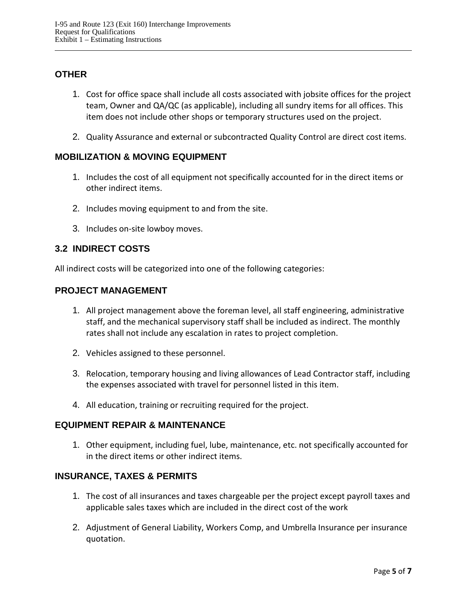## **OTHER**

- 1. Cost for office space shall include all costs associated with jobsite offices for the project team, Owner and QA/QC (as applicable), including all sundry items for all offices. This item does not include other shops or temporary structures used on the project.
- 2. Quality Assurance and external or subcontracted Quality Control are direct cost items.

## **MOBILIZATION & MOVING EQUIPMENT**

- 1. Includes the cost of all equipment not specifically accounted for in the direct items or other indirect items.
- 2. Includes moving equipment to and from the site.
- 3. Includes on-site lowboy moves.

## <span id="page-12-0"></span>**3.2 INDIRECT COSTS**

All indirect costs will be categorized into one of the following categories:

### **PROJECT MANAGEMENT**

- 1. All project management above the foreman level, all staff engineering, administrative staff, and the mechanical supervisory staff shall be included as indirect. The monthly rates shall not include any escalation in rates to project completion.
- 2. Vehicles assigned to these personnel.
- 3. Relocation, temporary housing and living allowances of Lead Contractor staff, including the expenses associated with travel for personnel listed in this item.
- 4. All education, training or recruiting required for the project.

## **EQUIPMENT REPAIR & MAINTENANCE**

1. Other equipment, including fuel, lube, maintenance, etc. not specifically accounted for in the direct items or other indirect items.

### **INSURANCE, TAXES & PERMITS**

- 1. The cost of all insurances and taxes chargeable per the project except payroll taxes and applicable sales taxes which are included in the direct cost of the work
- 2. Adjustment of General Liability, Workers Comp, and Umbrella Insurance per insurance quotation.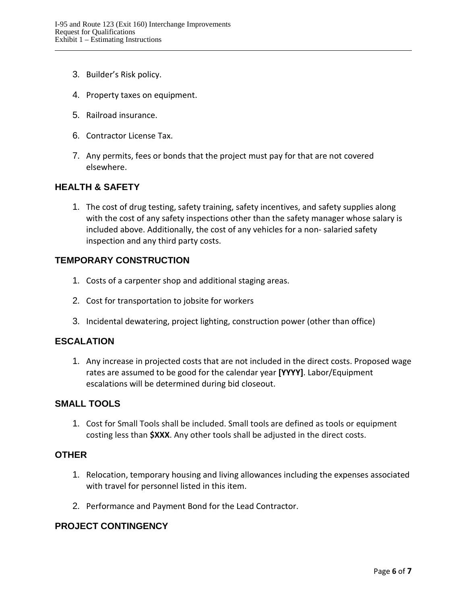- 3. Builder's Risk policy.
- 4. Property taxes on equipment.
- 5. Railroad insurance.
- 6. Contractor License Tax.
- 7. Any permits, fees or bonds that the project must pay for that are not covered elsewhere.

#### **HEALTH & SAFETY**

1. The cost of drug testing, safety training, safety incentives, and safety supplies along with the cost of any safety inspections other than the safety manager whose salary is included above. Additionally, the cost of any vehicles for a non- salaried safety inspection and any third party costs.

#### **TEMPORARY CONSTRUCTION**

- 1. Costs of a carpenter shop and additional staging areas.
- 2. Cost for transportation to jobsite for workers
- 3. Incidental dewatering, project lighting, construction power (other than office)

#### **ESCALATION**

1. Any increase in projected costs that are not included in the direct costs. Proposed wage rates are assumed to be good for the calendar year **[YYYY]**. Labor/Equipment escalations will be determined during bid closeout.

#### **SMALL TOOLS**

1. Cost for Small Tools shall be included. Small tools are defined as tools or equipment costing less than **\$XXX**. Any other tools shall be adjusted in the direct costs.

#### **OTHER**

- 1. Relocation, temporary housing and living allowances including the expenses associated with travel for personnel listed in this item.
- 2. Performance and Payment Bond for the Lead Contractor.

#### **PROJECT CONTINGENCY**